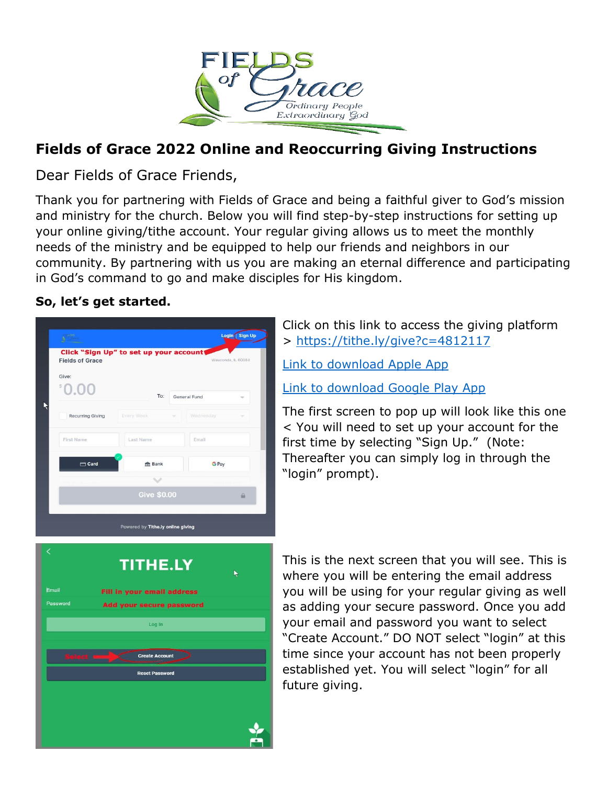

## **Fields of Grace 2022 Online and Reoccurring Giving Instructions**

Dear Fields of Grace Friends,

Thank you for partnering with Fields of Grace and being a faithful giver to God's mission and ministry for the church. Below you will find step-by-step instructions for setting up your online giving/tithe account. Your regular giving allows us to meet the monthly needs of the ministry and be equipped to help our friends and neighbors in our community. By partnering with us you are making an eternal difference and participating in God's command to go and make disciples for His kingdom.

## **So, let's get started.**

| $\frac{1}{N}\sum_{i=1}^{N}\sum_{j=1}^{N}$ |                                        | Login Sign Up      |
|-------------------------------------------|----------------------------------------|--------------------|
| <b>Fields of Grace</b>                    | Click "Sign Up" to set up your account | Wauconda, IL 60084 |
| Give:                                     |                                        |                    |
| 0.00                                      | To:                                    | General Fund       |
| <b>Recurring Giving</b>                   | Every Week<br>÷                        | Wednesday          |
| First Name                                | Last Name                              | Email              |
| $\Box$ Card                               | <b>血 Bank</b>                          | <b>G</b> Pay       |
|                                           | $\checkmark$                           |                    |
|                                           | <b>Give \$0.00</b>                     | $\triangle$        |
|                                           | Powered by Tithe.ly online giving      |                    |
|                                           | <b>TITHE.LY</b>                        | ŕ                  |
|                                           | <b>Fill in your email address</b>      |                    |
|                                           | Add your secure password               |                    |
|                                           | Log In                                 |                    |
|                                           |                                        |                    |
| Select $\longrightarrow$                  | <b>Create Account</b>                  | $\rightarrow$      |
|                                           | <b>Reset Password</b>                  |                    |
|                                           |                                        |                    |
| Email<br>Password                         |                                        |                    |

Click on this link to access the giving platform > <https://tithe.ly/give?c=4812117>

[Link to download Apple App](https://apps.apple.com/us/app/tithe-ly/id694740700)

[Link to download Google Play App](https://play.google.com/store/apps/details?id=ly.tithe.tithely&hl=en_US&gl=US)

The first screen to pop up will look like this one < You will need to set up your account for the first time by selecting "Sign Up." (Note: Thereafter you can simply log in through the "login" prompt).

This is the next screen that you will see. This is where you will be entering the email address you will be using for your regular giving as well as adding your secure password. Once you add your email and password you want to select "Create Account." DO NOT select "login" at this time since your account has not been properly established yet. You will select "login" for all future giving.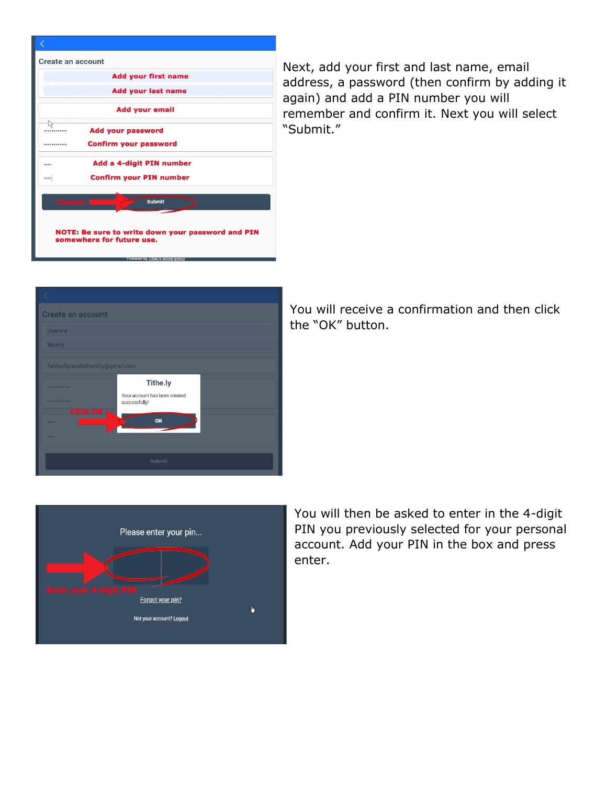

Next, add your first and last name, email address, a password (then confirm by adding it again) and add a PIN number you will remember and confirm it. Next you will select "Submit."

| <b>Create an account</b>         |                                                |  |  |  |
|----------------------------------|------------------------------------------------|--|--|--|
| Jeanine                          |                                                |  |  |  |
| Weintz                           |                                                |  |  |  |
| fieldsofgracefellowshp@gmail.com |                                                |  |  |  |
| <b><i>NAMESPROPER</i></b>        | Tithe.ly                                       |  |  |  |
| <b><i><u>ANNESONABRA</u></i></b> | Your account has been created<br>successfully! |  |  |  |
| Click OK<br>----                 | OK                                             |  |  |  |
|                                  |                                                |  |  |  |
| Submit                           |                                                |  |  |  |

You will receive a confirmation and then click the "OK" button.



You will then be asked to enter in the 4-digit PIN you previously selected for your personal account. Add your PIN in the box and press enter.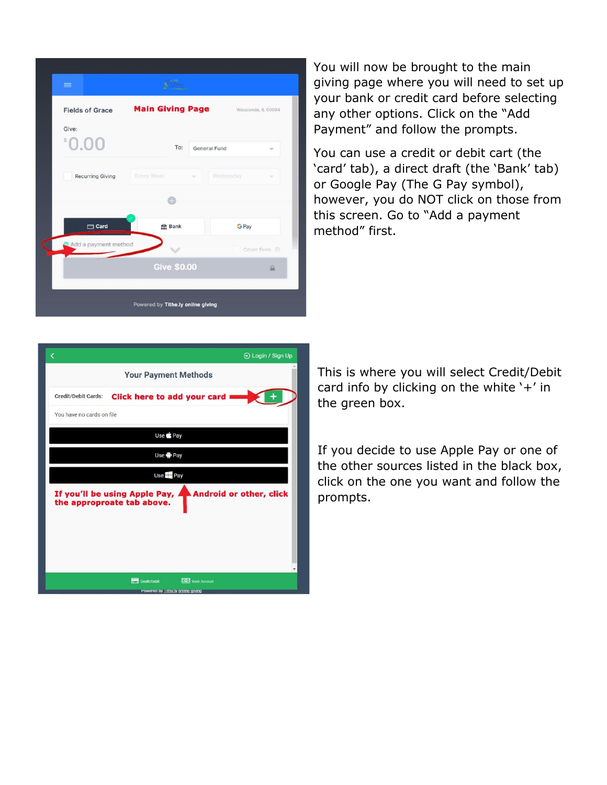| $\equiv$                |                          |                     |
|-------------------------|--------------------------|---------------------|
| <b>Fields of Grace</b>  | <b>Main Giving Page</b>  | Wauconda, IL 60084  |
| Give:<br>0.00           | To:                      | General Fund<br>w   |
| <b>Recurring Giving</b> | <b>Every Week</b><br>200 | Wednesday<br>$\sim$ |
|                         |                          |                     |
| $\Box$ Card             | <b>血 Bank</b>            | <b>G</b> Pay        |
| Add a payment method    |                          | Cover Fees          |
|                         | <b>Give \$0.00</b>       | $\triangle$         |
|                         |                          |                     |

You will now be brought to the main giving page where you will need to set up your bank or credit card before selecting any other options. Click on the "Add Payment" and follow the prompts.

You can use a credit or debit cart (the 'card' tab), a direct draft (the 'Bank' tab) or Google Pay (The G Pay symbol), however, you do NOT click on those from this screen. Go to "Add a payment method" first.



This is where you will select Credit/Debit card info by clicking on the white '+' in the green box.

If you decide to use Apple Pay or one of the other sources listed in the black box, click on the one you want and follow the prompts.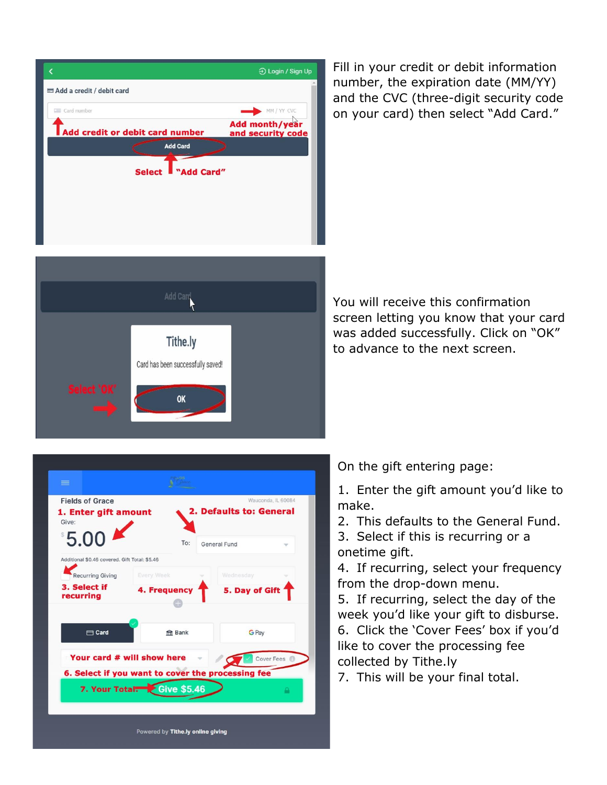|                                 | → Login / Sign Up                          |  |  |  |
|---------------------------------|--------------------------------------------|--|--|--|
| Add a credit / debit card       |                                            |  |  |  |
| Card number                     | MM / YY CVC                                |  |  |  |
| Add credit or debit card number | <b>Add month/year</b><br>and security code |  |  |  |
| <b>Add Card</b>                 |                                            |  |  |  |
| "Add Card"<br><b>Select</b>     |                                            |  |  |  |
|                                 |                                            |  |  |  |
|                                 |                                            |  |  |  |
|                                 |                                            |  |  |  |

Fill in your credit or debit information number, the expiration date (MM/YY) and the CVC (three-digit security code on your card) then select "Add Card."



You will receive this confirmation screen letting you know that your card was added successfully. Click on "OK" to advance to the next screen.



On the gift entering page:

1. Enter the gift amount you'd like to make.

2. This defaults to the General Fund.

3. Select if this is recurring or a onetime gift.

4. If recurring, select your frequency from the drop-down menu.

5. If recurring, select the day of the week you'd like your gift to disburse. 6. Click the 'Cover Fees' box if you'd like to cover the processing fee collected by Tithe.ly

7. This will be your final total.